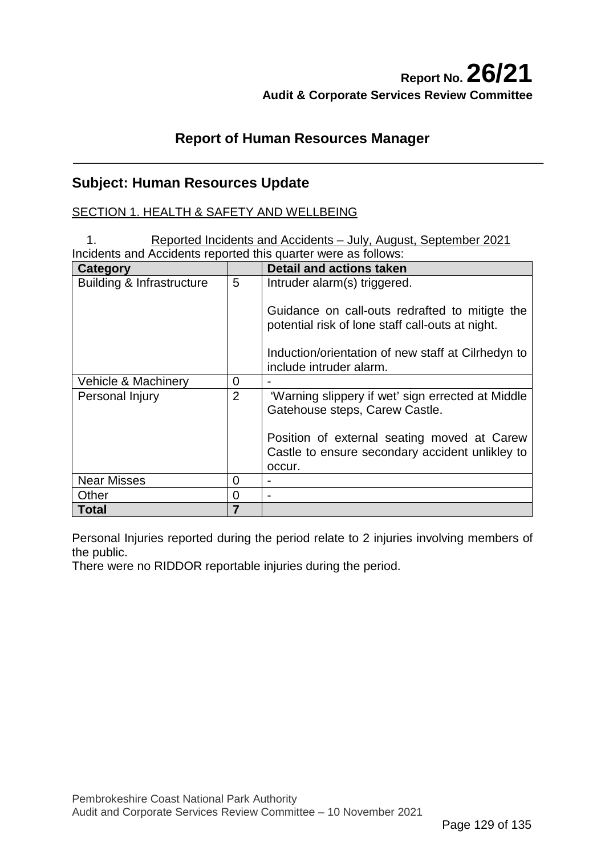# **Report No. 26/21 Audit & Corporate Services Review Committee**

## **Report of Human Resources Manager**

## **Subject: Human Resources Update**

### SECTION 1. HEALTH & SAFETY AND WELLBEING

1. Reported Incidents and Accidents – July, August, September 2021 Incidents and Accidents reported this quarter were as follows:

| Category                             |                | <b>Detail and actions taken</b>                                                                    |
|--------------------------------------|----------------|----------------------------------------------------------------------------------------------------|
| <b>Building &amp; Infrastructure</b> | 5              | Intruder alarm(s) triggered.                                                                       |
|                                      |                | Guidance on call-outs redrafted to mitigte the<br>potential risk of lone staff call-outs at night. |
|                                      |                | Induction/orientation of new staff at Cilrhedyn to<br>include intruder alarm.                      |
| Vehicle & Machinery                  | $\overline{0}$ |                                                                                                    |
| Personal Injury                      | $\overline{2}$ | 'Warning slippery if wet' sign errected at Middle<br>Gatehouse steps, Carew Castle.                |
|                                      |                | Position of external seating moved at Carew                                                        |
|                                      |                | Castle to ensure secondary accident unlikley to                                                    |
|                                      |                | occur.                                                                                             |
| <b>Near Misses</b>                   | 0              |                                                                                                    |
| Other                                | $\overline{0}$ |                                                                                                    |
| <b>Total</b>                         | $\overline{7}$ |                                                                                                    |

Personal Injuries reported during the period relate to 2 injuries involving members of the public.

There were no RIDDOR reportable injuries during the period.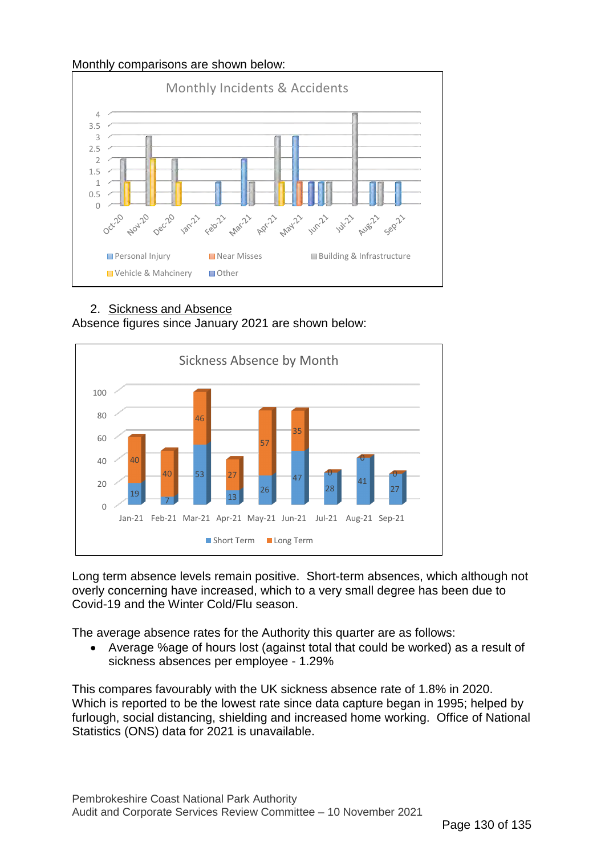#### Monthly comparisons are shown below:



## 2. Sickness and Absence

Absence figures since January 2021 are shown below:



Long term absence levels remain positive. Short-term absences, which although not overly concerning have increased, which to a very small degree has been due to Covid-19 and the Winter Cold/Flu season.

The average absence rates for the Authority this quarter are as follows:

• Average %age of hours lost (against total that could be worked) as a result of sickness absences per employee - 1.29%

This compares favourably with the UK sickness absence rate of 1.8% in 2020. Which is reported to be the lowest rate since data capture began in 1995; helped by furlough, social distancing, shielding and increased home working. Office of National Statistics (ONS) data for 2021 is unavailable.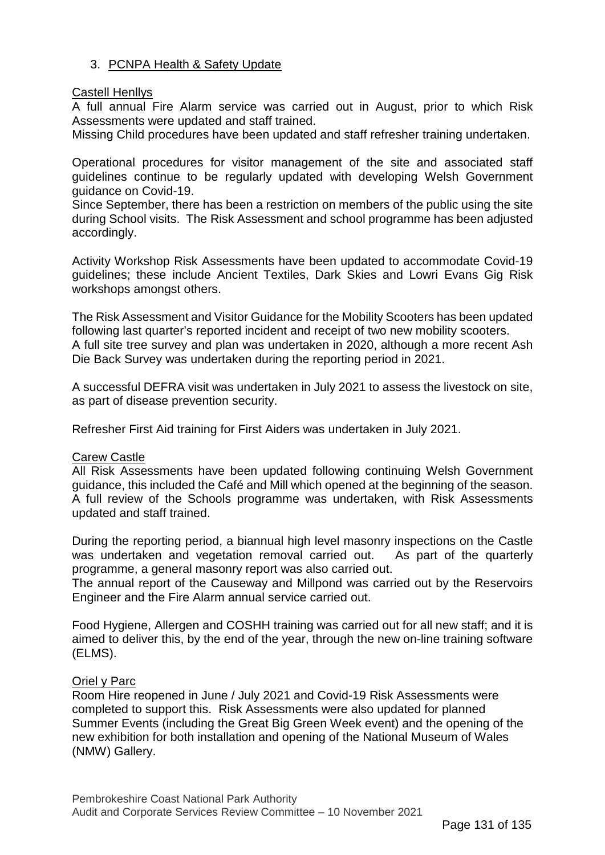### 3. PCNPA Health & Safety Update

#### Castell Henllys

A full annual Fire Alarm service was carried out in August, prior to which Risk Assessments were updated and staff trained.

Missing Child procedures have been updated and staff refresher training undertaken.

Operational procedures for visitor management of the site and associated staff guidelines continue to be regularly updated with developing Welsh Government guidance on Covid-19.

Since September, there has been a restriction on members of the public using the site during School visits. The Risk Assessment and school programme has been adjusted accordingly.

Activity Workshop Risk Assessments have been updated to accommodate Covid-19 guidelines; these include Ancient Textiles, Dark Skies and Lowri Evans Gig Risk workshops amongst others.

The Risk Assessment and Visitor Guidance for the Mobility Scooters has been updated following last quarter's reported incident and receipt of two new mobility scooters. A full site tree survey and plan was undertaken in 2020, although a more recent Ash Die Back Survey was undertaken during the reporting period in 2021.

A successful DEFRA visit was undertaken in July 2021 to assess the livestock on site, as part of disease prevention security.

Refresher First Aid training for First Aiders was undertaken in July 2021.

#### Carew Castle

All Risk Assessments have been updated following continuing Welsh Government guidance, this included the Café and Mill which opened at the beginning of the season. A full review of the Schools programme was undertaken, with Risk Assessments updated and staff trained.

During the reporting period, a biannual high level masonry inspections on the Castle was undertaken and vegetation removal carried out. As part of the quarterly programme, a general masonry report was also carried out.

The annual report of the Causeway and Millpond was carried out by the Reservoirs Engineer and the Fire Alarm annual service carried out.

Food Hygiene, Allergen and COSHH training was carried out for all new staff; and it is aimed to deliver this, by the end of the year, through the new on-line training software (ELMS).

#### Oriel y Parc

Room Hire reopened in June / July 2021 and Covid-19 Risk Assessments were completed to support this. Risk Assessments were also updated for planned Summer Events (including the Great Big Green Week event) and the opening of the new exhibition for both installation and opening of the National Museum of Wales (NMW) Gallery.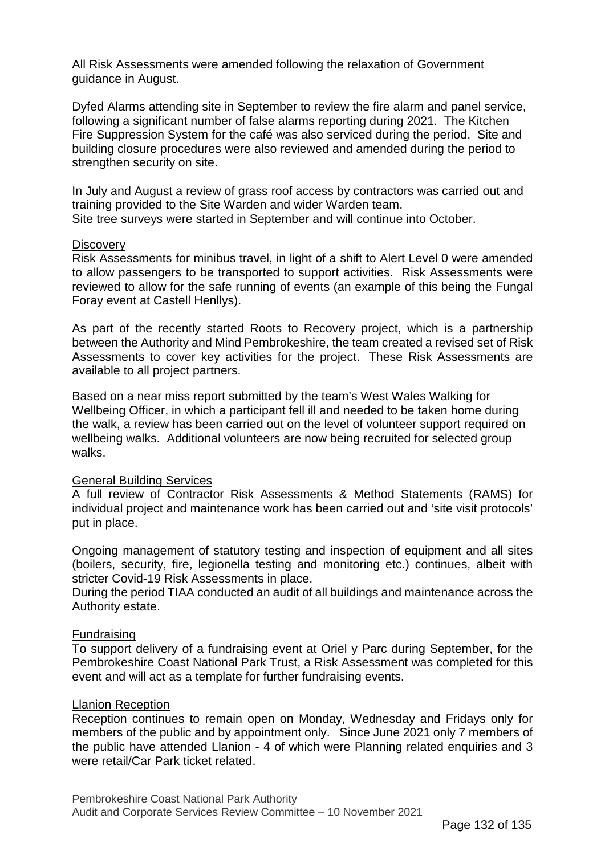All Risk Assessments were amended following the relaxation of Government guidance in August.

Dyfed Alarms attending site in September to review the fire alarm and panel service, following a significant number of false alarms reporting during 2021. The Kitchen Fire Suppression System for the café was also serviced during the period. Site and building closure procedures were also reviewed and amended during the period to strengthen security on site.

In July and August a review of grass roof access by contractors was carried out and training provided to the Site Warden and wider Warden team. Site tree surveys were started in September and will continue into October.

#### **Discovery**

Risk Assessments for minibus travel, in light of a shift to Alert Level 0 were amended to allow passengers to be transported to support activities. Risk Assessments were reviewed to allow for the safe running of events (an example of this being the Fungal Foray event at Castell Henllys).

As part of the recently started Roots to Recovery project, which is a partnership between the Authority and Mind Pembrokeshire, the team created a revised set of Risk Assessments to cover key activities for the project. These Risk Assessments are available to all project partners.

Based on a near miss report submitted by the team's West Wales Walking for Wellbeing Officer, in which a participant fell ill and needed to be taken home during the walk, a review has been carried out on the level of volunteer support required on wellbeing walks. Additional volunteers are now being recruited for selected group walks.

#### General Building Services

A full review of Contractor Risk Assessments & Method Statements (RAMS) for individual project and maintenance work has been carried out and 'site visit protocols' put in place.

Ongoing management of statutory testing and inspection of equipment and all sites (boilers, security, fire, legionella testing and monitoring etc.) continues, albeit with stricter Covid-19 Risk Assessments in place.

During the period TIAA conducted an audit of all buildings and maintenance across the Authority estate.

#### Fundraising

To support delivery of a fundraising event at Oriel y Parc during September, for the Pembrokeshire Coast National Park Trust, a Risk Assessment was completed for this event and will act as a template for further fundraising events.

#### Llanion Reception

Reception continues to remain open on Monday, Wednesday and Fridays only for members of the public and by appointment only. Since June 2021 only 7 members of the public have attended Llanion - 4 of which were Planning related enquiries and 3 were retail/Car Park ticket related.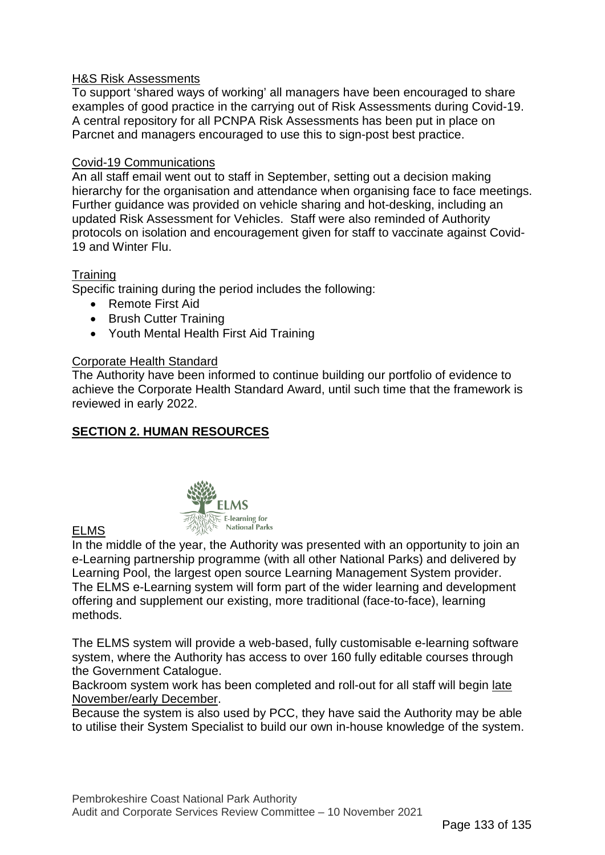#### H&S Risk Assessments

To support 'shared ways of working' all managers have been encouraged to share examples of good practice in the carrying out of Risk Assessments during Covid-19. A central repository for all PCNPA Risk Assessments has been put in place on Parcnet and managers encouraged to use this to sign-post best practice.

#### Covid-19 Communications

An all staff email went out to staff in September, setting out a decision making hierarchy for the organisation and attendance when organising face to face meetings. Further guidance was provided on vehicle sharing and hot-desking, including an updated Risk Assessment for Vehicles. Staff were also reminded of Authority protocols on isolation and encouragement given for staff to vaccinate against Covid-19 and Winter Flu.

### **Training**

Specific training during the period includes the following:

- Remote First Aid
- Brush Cutter Training
- Youth Mental Health First Aid Training

#### Corporate Health Standard

The Authority have been informed to continue building our portfolio of evidence to achieve the Corporate Health Standard Award, until such time that the framework is reviewed in early 2022.

## **SECTION 2. HUMAN RESOURCES**



## ELMS

In the middle of the year, the Authority was presented with an opportunity to join an e-Learning partnership programme (with all other National Parks) and delivered by Learning Pool, the largest open source Learning Management System provider. The ELMS e-Learning system will form part of the wider learning and development offering and supplement our existing, more traditional (face-to-face), learning methods.

The ELMS system will provide a web-based, fully customisable e-learning software system, where the Authority has access to over 160 fully editable courses through the Government Catalogue.

Backroom system work has been completed and roll-out for all staff will begin late November/early December.

Because the system is also used by PCC, they have said the Authority may be able to utilise their System Specialist to build our own in-house knowledge of the system.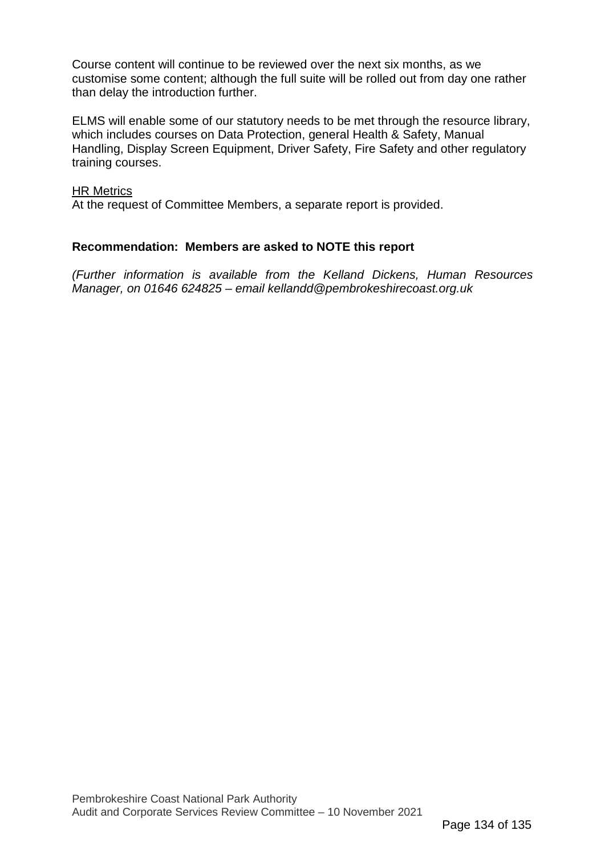Course content will continue to be reviewed over the next six months, as we customise some content; although the full suite will be rolled out from day one rather than delay the introduction further.

ELMS will enable some of our statutory needs to be met through the resource library, which includes courses on Data Protection, general Health & Safety, Manual Handling, Display Screen Equipment, Driver Safety, Fire Safety and other regulatory training courses.

#### HR Metrics

At the request of Committee Members, a separate report is provided.

#### **Recommendation: Members are asked to NOTE this report**

*(Further information is available from the Kelland Dickens, Human Resources Manager, on 01646 624825 – email kellandd@pembrokeshirecoast.org.uk*